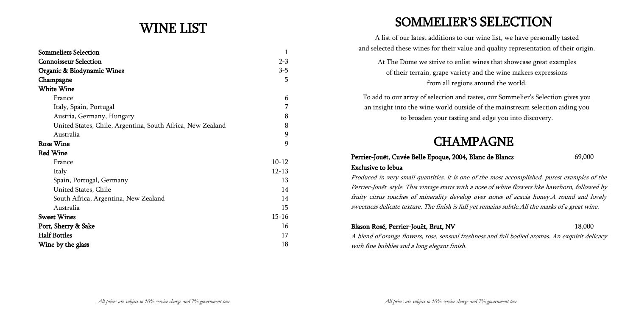# WINE LIST

| <b>Sommeliers Selection</b>                                | 1         |
|------------------------------------------------------------|-----------|
| <b>Connoisseur Selection</b>                               | $2 - 3$   |
| Organic & Biodynamic Wines                                 | $3 - 5$   |
| Champagne                                                  | 5         |
| <b>White Wine</b>                                          |           |
| France                                                     | 6         |
| Italy, Spain, Portugal                                     | 7         |
| Austria, Germany, Hungary                                  | 8         |
| United States, Chile, Argentina, South Africa, New Zealand | 8         |
| Australia                                                  | 9         |
| <b>Rose Wine</b>                                           | 9         |
| <b>Red Wine</b>                                            |           |
| France                                                     | $10 - 12$ |
| Italy                                                      | $12 - 13$ |
| Spain, Portugal, Germany                                   | 13        |
| United States, Chile                                       | 14        |
| South Africa, Argentina, New Zealand                       | 14        |
| Australia                                                  | 15        |
| <b>Sweet Wines</b>                                         | $15 - 16$ |
| Port, Sherry & Sake                                        | 16        |
| <b>Half Bottles</b>                                        | 17        |
| Wine by the glass                                          | 18        |

# SOMMELIER"S SELECTION

## Perrier-Jouët, Cuvée Belle Epoque, 2004, Blanc de Blancs 69,000 Exclusive to lebua

A list of our latest additions to our wine list, we have personally tasted and selected these wines for their value and quality representation of their origin. At The Dome we strive to enlist wines that showcase great examples of their terrain, grape variety and the wine makers expressions from all regions around the world. To add to our array of selection and tastes, our Sommelier"s Selection gives you an insight into the wine world outside of the mainstream selection aiding you to broaden your tasting and edge you into discovery.

# CHAMPAGNE

Produced in very small quantities, it is one of the most accomplished, purest examples of the Perrier-Jouët style. This vintage starts with a nose of white flowers like hawthorn, followed by fruity citrus touches of minerality develop over notes of acacia honey.A round and lovely sweetness delicate texture. The finish is full yet remains subtle.All the marks of a great wine.

## Blason Rosé, Perrier-Jouët, Brut, NV 18,000

A blend of orange flowers, rose, sensual freshness and full bodied aromas. An exquisit delicacy with fine bubbles and a long elegant finish.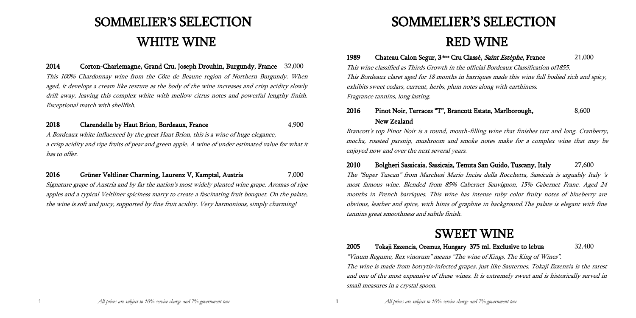# SOMMELIER"S SELECTION WHITE WINE

2014 Corton-Charlemagne, Grand Cru, Joseph Drouhin, Burgundy, France 32,000 This 100% Chardonnay wine from the Côte de Beaune region of Northern Burgundy. When aged, it develops a cream like texture as the body of the wine increases and crisp acidity slowly drift away, leaving this complex white with mellow citrus notes and powerful lengthy finish. Exceptional match with shellfish.

## 2018 Clarendelle by Haut Brion, Bordeaux, France 4,900

A Bordeaux white influenced by the great Haut Brion, this is a wine of huge elegance, a crisp acidity and ripe fruits of pear and green apple. A wine of under estimated value for what it has to offer.

1**989** Chateau Calon Segur, 3<sup>ème</sup> Cru Classé, *Saint Estèphe*, France 21,000 This wine classified as Thirds Growth in the official Bordeaux Classification of1855. This Bordeaux claret aged for 18 months in barriques made this wine full bodied rich and spicy, exhibits sweet cedars, current, herbs, plum notes along with earthiness. Fragrance tannins, long lasting.

## 2016 Pinot Noir, Terraces "T", Brancott Estate, Marlborough, 8,600 New Zealand

## 2016 Grüner Veltliner Charming, Laurenz V, Kamptal, Austria 7,000

Signature grape of Austria and by far the nation's most widely planted wine grape. Aromas of ripe apples and a typical Veltliner spiciness marry to create a fascinating fruit bouquet. On the palate, the wine is soft and juicy, supported by fine fruit acidity. Very harmonious, simply charming!

# SOMMELIER"S SELECTION RED WINE

Brancott's top Pinot Noir is a round, mouth-filling wine that finishes tart and long. Cranberry, mocha, roasted parsnip, mushroom and smoke notes make for a complex wine that may be enjoyed now and over the next several years.

2010 Bolgheri Sassicaia, Sassicaia, Tenuta San Guido, Tuscany, Italy 27,600 The "Super Tuscan" from Marchesi Mario Incisa della Rocchetta, Sassicaia is arguably Italy "s most famous wine. Blended from 85% Cabernet Sauvignon, 15% Cabernet Franc. Aged 24 months in French barriques. This wine has intense ruby color fruity notes of blueberry are obvious, leather and spice, with hints of graphite in background.The palate is elegant with fine tannins great smoothness and subtle finish.

# SWEET WINE

## 2005 Tokaji Eszencia, Oremus, Hungary 375 ml. Exclusive to lebua 32,400

"Vinum Regume, Rex vinorum" means "The wine of Kings, The King of Wines". The wine is made from botrytis-infected grapes, just like Sauternes. Tokaji Eszenzia is the rarest and one of the most expensive of these wines. It is extremely sweet and is historically served in small measures in a crystal spoon.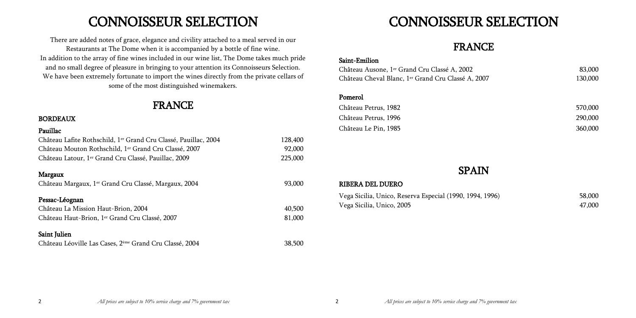# CONNOISSEUR SELECTION

There are added notes of grace, elegance and civility attached to a meal served in our Restaurants at The Dome when it is accompanied by a bottle of fine wine. In addition to the array of fine wines included in our wine list, The Dome takes much pride and no small degree of pleasure in bringing to your attention its Connoisseurs Selection. We have been extremely fortunate to import the wines directly from the private cellars of some of the most distinguished winemakers.

## FRANCE

## BORDEAUX

| Pauillac                                                            |         |
|---------------------------------------------------------------------|---------|
| Château Lafite Rothschild, 1er Grand Cru Classé, Pauillac, 2004     | 128,400 |
| Château Mouton Rothschild, 1er Grand Cru Classé, 2007               | 92,000  |
| Château Latour, 1 <sup>er</sup> Grand Cru Classé, Pauillac, 2009    | 225,000 |
| Margaux                                                             |         |
| Château Margaux, 1 <sup>er</sup> Grand Cru Classé, Margaux, 2004    | 93,000  |
| Pessac-Léognan                                                      |         |
| Château La Mission Haut-Brion, 2004                                 | 40,500  |
| Château Haut-Brion, 1 <sup>er</sup> Grand Cru Classé, 2007          | 81,000  |
| Saint Julien                                                        |         |
| Château Léoville Las Cases, 2 <sup>ème</sup> Grand Cru Classé, 2004 | 38,500  |

# CONNOISSEUR SELECTION

# FRANCE

## Saint-Emilion

Château Ausone, 1er Grand Cru Classé A, 2002 83,000 Château Cheval Blanc, 1er Grand Cru Classé A, 2007 130,000

## Pomerol

Château Petrus, 1982 570,000 Château Petrus, 1996 290,000 Château Le Pin, 1985 360,000

## SPAIN

| Vega Sicilia, Unico, Reserva Especial (1990, 1994, 1996) | 58,000 |
|----------------------------------------------------------|--------|
| Vega Sicilia, Unico, 2005                                | 47,000 |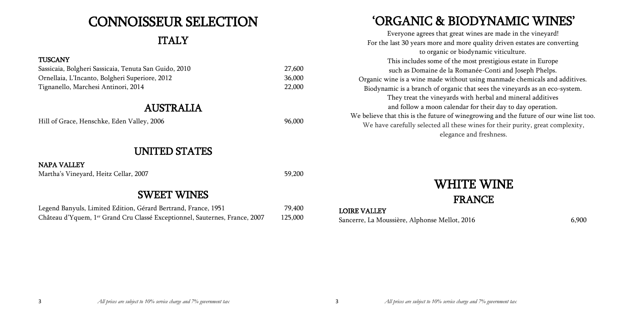# CONNOISSEUR SELECTION

# ITALY

## **TUSCANY**

| Sassicaia, Bolgheri Sassicaia, Tenuta San Guido, 2010 | 27,600 |
|-------------------------------------------------------|--------|
| Ornellaia, L'Incanto, Bolgheri Superiore, 2012        | 36,000 |
| Tignanello, Marchesi Antinori, 2014                   | 22,000 |

Legend Banyuls, Limited Edition, Gérard Bertrand, France, 1951 79,400 Château d"Yquem, 1er Grand Cru Classé Exceptionnel, Sauternes, France, 2007 125,000

## AUSTRALIA

Hill of Grace, Henschke, Eden Valley, 2006 96,000

## UNITED STATES

## NAPA VALLEY

Martha's Vineyard, Heitz Cellar, 2007 59,200

## SWEET WINES

# "ORGANIC & BIODYNAMIC WINES"

## LOIRE VALLEY Sancerre, La Moussière, Alphonse Mellot, 2016 6,900

Everyone agrees that great wines are made in the vineyard! For the last 30 years more and more quality driven estates are converting to organic or biodynamic viticulture. This includes some of the most prestigious estate in Europe such as Domaine de la Romanée-Conti and Joseph Phelps. Organic wine is a wine made without using manmade chemicals and additives. Biodynamic is a branch of organic that sees the vineyards as an eco-system. They treat the vineyards with herbal and mineral additives and follow a moon calendar for their day to day operation. We believe that this is the future of winegrowing and the future of our wine list too. We have carefully selected all these wines for their purity, great complexity, elegance and freshness.

# WHITE WINE FRANCE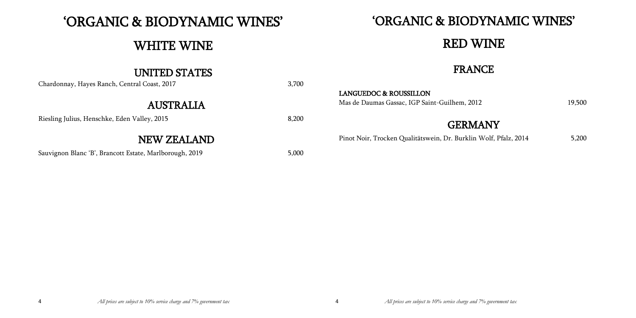aumas Gassac, IGP Saint-Guilhem, 2012 19,500

# "ORGANIC & BIODYNAMIC WINES"

# WHITE WINE

# UNITED STATES

| Chardonnay, Hayes Ranch, Central Coast, 2017 | 3,700 |                                                                    |
|----------------------------------------------|-------|--------------------------------------------------------------------|
| <b>AUSTRALIA</b>                             |       | <b>LANGUEDOC &amp; ROUSSILLON</b><br>Mas de Daumas Gassac, IGP Sai |
| Riesling Julius, Henschke, Eden Valley, 2015 | 8,200 |                                                                    |
| NEW ZEALAND                                  |       | Pinot Noir, Trocken Qualitätsw                                     |
|                                              |       |                                                                    |

Sauvignon Blanc 'B', Brancott Estate, Marlborough, 2019 5,000

# "ORGANIC & BIODYNAMIC WINES" RED WINE

FRANCE

# **GERMANY**

r, Trocken Qualitätswein, Dr. Burklin Wolf, Pfalz, 2014 5,200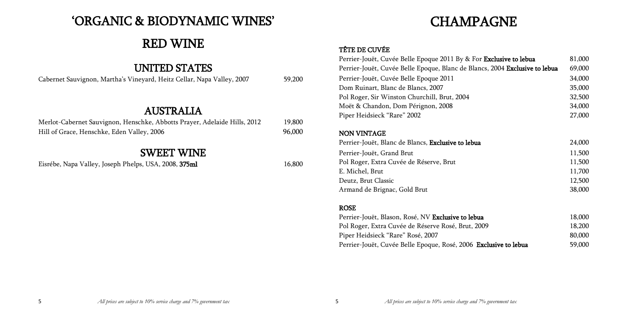| <sup>-</sup> Exclusive to lebua | 81,000 |
|---------------------------------|--------|
| ics, 2004 Exclusive to lebua    | 69,000 |
|                                 | 34,000 |
|                                 | 35,000 |
|                                 | 32,500 |
|                                 | 34,000 |
|                                 | 27,000 |
|                                 |        |
|                                 | 24,000 |
|                                 | 11,500 |
|                                 | 11,500 |
|                                 | 11,700 |
|                                 | 12,500 |
|                                 | 38,000 |
|                                 |        |
|                                 |        |
| a                               | 18,000 |
| 109                             | 18,200 |
|                                 | 80,000 |
| xclusive to lebua               | 59,000 |

# "ORGANIC & BIODYNAMIC WINES"

# RED WINE

## UNITED STATES

| Cabernet Sauvignon, Martha's Vineyard, Heitz Cellar, Napa Valley, 2007 |  |  | 59,200 |
|------------------------------------------------------------------------|--|--|--------|
|                                                                        |  |  |        |

## AUSTRALIA

| Merlot-Cabernet Sauvignon, Henschke, Abbotts Prayer, Adelaide Hills, 2012 | 19,800 |
|---------------------------------------------------------------------------|--------|
| Hill of Grace, Henschke, Eden Valley, 2006                                | 96,000 |

# SWEET WINE

Eisrébe, Napa Valley, Joseph Phelps, USA, 2008, 375ml 16,800

# CHAMPAGNE

## TÊTE DE CUVÉE

Perrier-Jouët, Cuvée Belle Epoque 2011 By & For Perrier-Jouët, Cuvée Belle Epoque, Blanc de Blan Perrier-Jouët, Cuvée Belle Epoque 2011 Dom Ruinart, Blanc de Blancs, 2007 Pol Roger, Sir Winston Churchill, Brut, 2004 Moët & Chandon, Dom Pérignon, 2008 Piper Heidsieck "Rare" 2002

## NON VINTAGE

Perrier-Jouët, Blanc de Blancs, Exclusive to lebua Perrier-Jouët, Grand Brut Pol Roger, Extra Cuvée de Réserve, Brut E. Michel, Brut Deutz, Brut Classic Armand de Brignac, Gold Brut

## ROSE

Perrier-Jouët, Blason, Rosé, NV Exclusive to lebua Pol Roger, Extra Cuvée de Réserve Rosé, Brut, 20 Piper Heidsieck "Rare" Rosé, 2007 Perrier-Jouët, Cuvée Belle Epoque, Rosé, 2006 Ex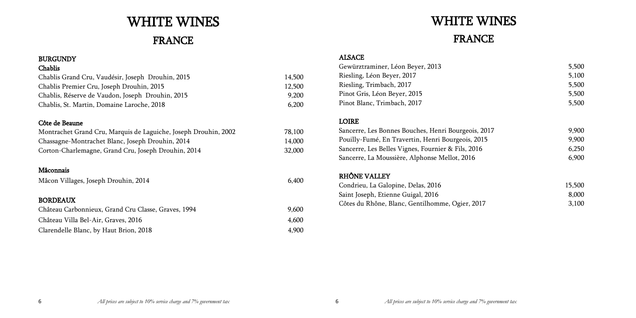# WHITE WINES

# FRANCE

## BURGUNDY

| Chablis                                           |        |
|---------------------------------------------------|--------|
| Chablis Grand Cru, Vaudésir, Joseph Drouhin, 2015 | 14,500 |
| Chablis Premier Cru, Joseph Drouhin, 2015         | 12,500 |
| Chablis, Réserve de Vaudon, Joseph Drouhin, 2015  | 9.200  |
| Chablis, St. Martin, Domaine Laroche, 2018        | 6.200  |

## Côte de Beaune

| Montrachet Grand Cru, Marquis de Laguiche, Joseph Drouhin, 2002 | 78,100 |
|-----------------------------------------------------------------|--------|
| Chassagne-Montrachet Blanc, Joseph Drouhin, 2014                | 14,000 |
| Corton-Charlemagne, Grand Cru, Joseph Drouhin, 2014             | 32,000 |

## Mâconnais

| Mâcon Villages, Joseph Drouhin, 2014 | 6,400 |
|--------------------------------------|-------|
|--------------------------------------|-------|

## BORDEAUX

| Château Carbonnieux, Grand Cru Classe, Graves, 1994 | 9,600 |
|-----------------------------------------------------|-------|
| Château Villa Bel-Air, Graves, 2016                 | 4,600 |
| Clarendelle Blanc, by Haut Brion, 2018              | 4,900 |

# WHITE WINES FRANCE

## ALSACE

| Gewürztraminer, Léon Beyer, 2013 |  |
|----------------------------------|--|
| Riesling, Léon Beyer, 2017       |  |
| Riesling, Trimbach, 2017         |  |
| Pinot Gris, Léon Beyer, 2015     |  |
| Pinot Blanc, Trimbach, 2017      |  |

| Gewürztraminer, Léon Beyer, 2013<br>Riesling, Léon Beyer, 2017<br>Riesling, Trimbach, 2017<br>Pinot Gris, Léon Beyer, 2015 | 5,500<br>5,100<br>5,500<br>5,500 |
|----------------------------------------------------------------------------------------------------------------------------|----------------------------------|
| Pinot Blanc, Trimbach, 2017                                                                                                | 5,500                            |
| <b>LOIRE</b>                                                                                                               |                                  |
| Sancerre, Les Bonnes Bouches, Henri Bourgeois, 2017                                                                        | 9,900                            |
| Pouilly-Fumé, En Travertin, Henri Bourgeois, 2015                                                                          | 9,900                            |
| Sancerre, Les Belles Vignes, Fournier & Fils, 2016                                                                         | 6,250                            |
| Sancerre, La Moussière, Alphonse Mellot, 2016                                                                              | 6,900                            |
| RHÔNE VALLEY                                                                                                               |                                  |
| Condrieu, La Galopine, Delas, 2016                                                                                         | 15,500                           |
| Saint Joseph, Etienne Guigal, 2016                                                                                         | 8,000                            |
| Côtes du Rhône, Blanc, Gentilhomme, Ogier, 2017                                                                            | 3,100                            |
|                                                                                                                            |                                  |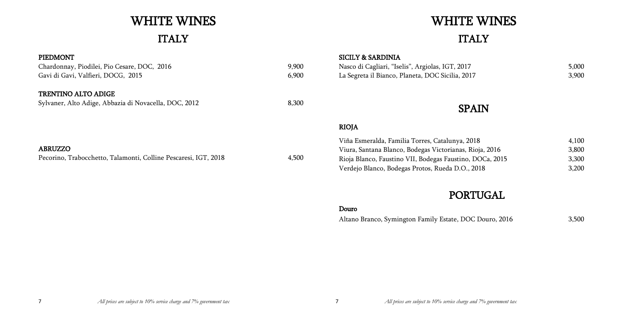## PIEDMONT Chardonnay, Piodilei, Pio Cesare, DOC, 2016 9,900 Gavi di Gavi, Valfieri, DOCG, 2015 6,900 TRENTINO ALTO ADIGE Sylvaner, Alto Adige, Abbazia di Novacella, DOC, 2012 8,300 ABRUZZO Pecorino, Trabocchetto, Talamonti, Colline Pescaresi, IGT, 2018 4,500 SICILY & SARDINIA Nasco di Cagliari, "Iselis", Argiolas, IGT, 2017 5,000 La Segreta il Bianco, Planeta, DOC Sicilia, 2017 3,900 SPAIN RIOJA Viña Esmeralda, Familia Torres, Catalunya, 2018 Viura, Santana Blanco, Bodegas Victorianas, Rioja Rioja Blanco, Faustino VII, Bodegas Faustino, DO

# WHITE WINES

# ITALY

# WHITE WINES ITALY

| Viña Esmeralda, Familia Torres, Catalunya, 2018          | 4.100 |
|----------------------------------------------------------|-------|
| Viura, Santana Blanco, Bodegas Victorianas, Rioja, 2016  | 3,800 |
| Rioja Blanco, Faustino VII, Bodegas Faustino, DOCa, 2015 | 3.300 |
| Verdejo Blanco, Bodegas Protos, Rueda D.O., 2018         | 3.200 |

# PORTUGAL

## Douro

Altano Branco, Symington Family Estate, DOC Douro, 2016 3,500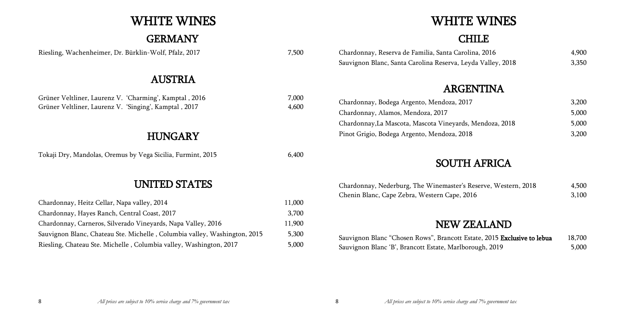# WHITE WINES

# GERMANY

Riesling, Wachenheimer, Dr. Bürklin-Wolf, Pfalz, 2017 7,500

# AUSTRIA

Grüner Veltliner, Laurenz V. 'Charming', Kamptal , 2016 7,000 Grüner Veltliner, Laurenz V. 'Singing', Kamptal , 2017 4,600

# HUNGARY

Tokaji Dry, Mandolas, Oremus by Vega Sicilia, Furmint, 2015 6,400

# UNITED STATES

Chardonnay, Bodega Argento, Mendoza, 2017 3,200 Chardonnay, Alamos, Mendoza, 2017 Chardonnay, La Mascota, Mascota Vineyards, Mer Pinot Grigio, Bodega Argento, Mendoza, 2018 3,200

| Chardonnay, Heitz Cellar, Napa valley, 2014                               | 11,000 |
|---------------------------------------------------------------------------|--------|
| Chardonnay, Hayes Ranch, Central Coast, 2017                              | 3,700  |
| Chardonnay, Carneros, Silverado Vineyards, Napa Valley, 2016              | 11,900 |
| Sauvignon Blanc, Chateau Ste. Michelle, Columbia valley, Washington, 2015 | 5,300  |
| Riesling, Chateau Ste. Michelle, Columbia valley, Washington, 2017        | 5,000  |

| 2016         | 4,900 |
|--------------|-------|
| Valley, 2018 | 3,350 |

|             | 3,200 |
|-------------|-------|
|             | 5,000 |
| ndoza, 2018 | 5,000 |
|             | 3.200 |

| rve, Western, 2018 | 4,500 |
|--------------------|-------|
|                    | 3,100 |

| , 2015 Exclusive to lebua | 18,700 |
|---------------------------|--------|
| <u>փ, 2019</u>            | 5,000  |

# WHITE WINES

# **CHILE**

Chardonnay, Reserva de Familia, Santa Carolina, Sauvignon Blanc, Santa Carolina Reserva, Leyda

# ARGENTINA

# SOUTH AFRICA

Chardonnay, Nederburg, The Winemaster's Reser Chenin Blanc, Cape Zebra, Western Cape, 2016

# NEW ZEALAND

Sauvignon Blanc "Chosen Rows", Brancott Estate Sauvignon Blanc 'B', Brancott Estate, Marlboroug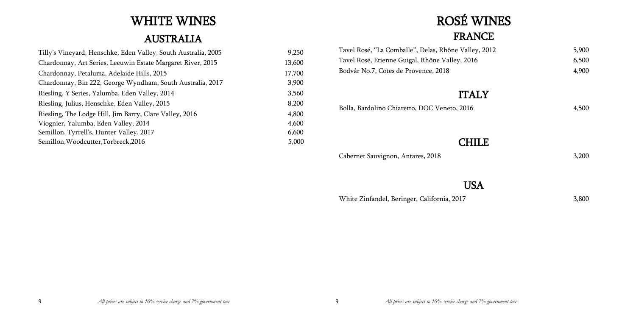# WHITE WINES

# AUSTRALIA

| Tilly's Vineyard, Henschke, Eden Valley, South Australia, 2005 | 9,250  |
|----------------------------------------------------------------|--------|
| Chardonnay, Art Series, Leeuwin Estate Margaret River, 2015    | 13,600 |
| Chardonnay, Petaluma, Adelaide Hills, 2015                     | 17,700 |
| Chardonnay, Bin 222, George Wyndham, South Australia, 2017     | 3,900  |
| Riesling, Y Series, Yalumba, Eden Valley, 2014                 | 3,560  |
| Riesling, Julius, Henschke, Eden Valley, 2015                  | 8,200  |
| Riesling, The Lodge Hill, Jim Barry, Clare Valley, 2016        | 4,800  |
| Viognier, Yalumba, Eden Valley, 2014                           | 4,600  |
| Semillon, Tyrrell's, Hunter Valley, 2017                       | 6,600  |
| Semillon, Woodcutter, Torbreck, 2016                           | 5,000  |

# ROSÉ WINES FRANCE  $\overline{\mathbf{Y}}$ CHILE

| Tavel Rosé, "La Comballe", Delas, Rhône Valley, 2012 | 5,900 |
|------------------------------------------------------|-------|
| Tavel Rosé, Etienne Guigal, Rhône Valley, 2016       | 6,500 |
| Bodvár No.7, Cotes de Provence, 2018                 | 4,900 |
| <b>ITALY</b>                                         |       |
|                                                      |       |
| Bolla, Bardolino Chiaretto, DOC Veneto, 2016         | 4,500 |
|                                                      |       |

Cabernet Sauvignon, Antares, 2018 3,200

# USA

White Zinfandel, Beringer, California, 2017 3,800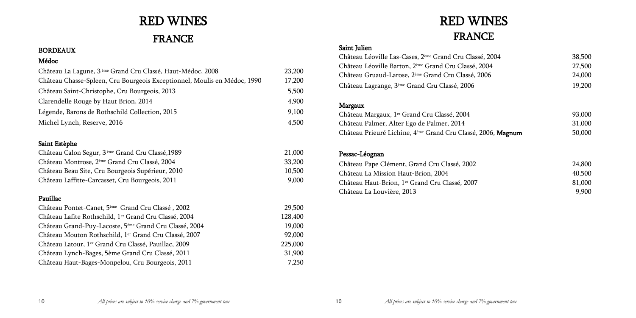| $\pm$ , 2004 | 38,500 |
|--------------|--------|
| .004         | 27,500 |
| 006          | 24,000 |
|              | 19,200 |
|              |        |
|              |        |
|              | 93,000 |
|              | 31,000 |
| 2006, Magnum | 50,000 |
|              |        |

| 24,800 |
|--------|
| 40,500 |
| 81,000 |
| 9,900  |

# RED WINES

# FRANCE

## BORDEAUX

## Médoc

| Château La Lagune, 3 <sup>ème</sup> Grand Cru Classé, Haut-Médoc, 2008   | 23,200 |
|--------------------------------------------------------------------------|--------|
| Château Chasse-Spleen, Cru Bourgeois Exceptionnel, Moulis en Médoc, 1990 | 17,200 |
| Château Saint-Christophe, Cru Bourgeois, 2013                            | 5,500  |
| Clarendelle Rouge by Haut Brion, 2014                                    | 4,900  |
| Légende, Barons de Rothschild Collection, 2015                           | 9,100  |
| Michel Lynch, Reserve, 2016                                              | 4,500  |

## Saint Estèphe

| Château Calon Segur, 3 <sup>ème</sup> Grand Cru Classé, 1989 | 21,000 |
|--------------------------------------------------------------|--------|
| Château Montrose, 2 <sup>ème</sup> Grand Cru Classé, 2004    | 33,200 |
| Château Beau Site, Cru Bourgeois Supérieur, 2010             | 10,500 |
| Château Laffitte-Carcasset, Cru Bourgeois, 2011              | 9.000  |

## Pauillac

Château Margaux, 1<sup>er</sup> Grand Cru Classé, 2004 Château Palmer, Alter Ego de Palmer, 2014 Château Prieuré Lichine, 4 ème Grand Cru Classé, 2006, Magnum 50,000

| Château Pontet-Canet, 5 <sup>ème</sup> Grand Cru Classé, 2002      | 29,500  |
|--------------------------------------------------------------------|---------|
| Château Lafite Rothschild, 1 <sup>er</sup> Grand Cru Classé, 2004  | 128,400 |
| Château Grand-Puy-Lacoste, 5 <sup>ème</sup> Grand Cru Classé, 2004 | 19,000  |
| Château Mouton Rothschild, 1er Grand Cru Classé, 2007              | 92,000  |
| Château Latour, 1 <sup>er</sup> Grand Cru Classé, Pauillac, 2009   | 225,000 |
| Château Lynch-Bages, 5ème Grand Cru Classé, 2011                   | 31,900  |
| Château Haut-Bages-Monpelou, Cru Bourgeois, 2011                   | 7,250   |
|                                                                    |         |

# RED WINES FRANCE

## Saint Julien

Château Léoville Las-Cases, 2<sup>ème</sup> Grand Cru Classe Château Léoville Barton, 2ème Grand Cru Classé, 2 Château Gruaud-Larose, 2<sup>ème</sup> Grand Cru Classé, 20 Château Lagrange, 3<sup>ème</sup> Grand Cru Classé, 2006

## Margaux

## Pessac-Léognan

Château Pape Clément, Grand Cru Classé, 2002 Château La Mission Haut-Brion, 2004 Château Haut-Brion, 1<sup>er</sup> Grand Cru Classé, 2007 Château La Louvière, 2013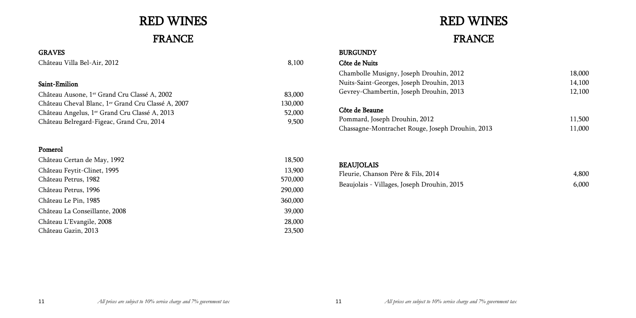| 18,000<br>14,100<br>12,100 |
|----------------------------|
| 11,500<br>11,000           |

# RED WINES FRANCE

## GRAVES

Château Villa Bel-Air, 2012 8,100

## Saint-Emilion

| Château Ausone, 1 <sup>er</sup> Grand Cru Classé A, 2002       | 83,000  |
|----------------------------------------------------------------|---------|
| Château Cheval Blanc, 1 <sup>er</sup> Grand Cru Classé A, 2007 | 130,000 |
| Château Angelus, 1 <sup>er</sup> Grand Cru Classé A, 2013      | 52,000  |
| Château Belregard-Figeac, Grand Cru, 2014                      | 9,500   |

## BURGUNDY Côte de Nuits Chambolle Musigny, Joseph Drouhin, 2012 Nuits-Saint-Georges, Joseph Drouhin, 2013 Gevrey-Chambertin, Joseph Drouhin, 2013 Côte de Beaune Pommard, Joseph Drouhin, 2012 Chassagne-Montrachet Rouge, Joseph Drouhin, 2013

## Pomerol

# BEAUJOLAIS Fleurie, Chanson Père & Fils, 2014 4,800 Beaujolais - Villages, Joseph Drouhin, 2015 6,000

| Château Certan de May, 1992   | 18,500  |
|-------------------------------|---------|
| Château Feytit-Clinet, 1995   | 13,900  |
| Château Petrus, 1982          | 570,000 |
| Château Petrus, 1996          | 290,000 |
| Château Le Pin, 1985          | 360,000 |
| Château La Conseillante, 2008 | 39,000  |
| Château L'Evangile, 2008      | 28,000  |
| Château Gazin, 2013           | 23,500  |

# RED WINES FRANCE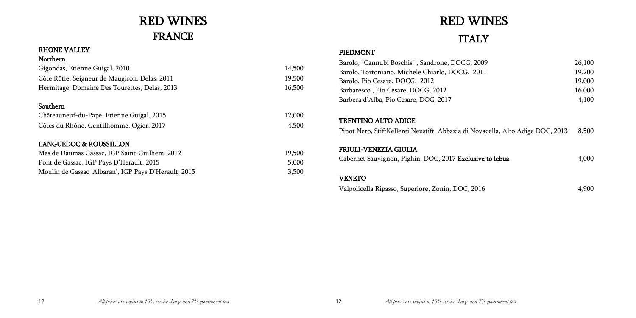| 09 | 26,100 |
|----|--------|
| 11 | 19,200 |
|    | 19,000 |
|    | 16,000 |
|    | 4,100  |
|    |        |

| zacella, Alto Adige DOC, 2013 |  |  | 8,500 |
|-------------------------------|--|--|-------|
|                               |  |  |       |

| e to lebua | 4,000 |
|------------|-------|
|------------|-------|

# RED WINES FRANCE

## RHONE VALLEY

| Northern                                      |        |
|-----------------------------------------------|--------|
| Gigondas, Etienne Guigal, 2010                | 14,500 |
| Côte Rôtie, Seigneur de Maugiron, Delas, 2011 | 19,500 |
| Hermitage, Domaine Des Tourettes, Delas, 2013 | 16,500 |
|                                               |        |
| Southern                                      |        |
| Châteauneuf-du-Pape, Etienne Guigal, 2015     | 12,000 |

# RED WINES **ITALY**

|                                          | .     |
|------------------------------------------|-------|
| Côtes du Rhône, Gentilhomme, Ogier, 2017 | 4,500 |

## LANGUEDOC & ROUSSILLON

| Mas de Daumas Gassac, IGP Saint-Guilhem, 2012        | 19,500 |
|------------------------------------------------------|--------|
| Pont de Gassac, IGP Pays D'Herault, 2015             | 5.000  |
| Moulin de Gassac 'Albaran', IGP Pays D'Herault, 2015 | 3.500  |

## PIEDMONT

| Barolo, "Cannubi Boschis", Sandrone, DOCG, 2009                                | 26,100 |
|--------------------------------------------------------------------------------|--------|
| Barolo, Tortoniano, Michele Chiarlo, DOCG, 2011                                | 19,200 |
| Barolo, Pio Cesare, DOCG, 2012                                                 | 19,000 |
| Barbaresco, Pio Cesare, DOCG, 2012                                             | 16,000 |
| Barbera d'Alba, Pio Cesare, DOC, 2017                                          | 4,100  |
| <b>TRENTINO ALTO ADIGE</b>                                                     |        |
| Pinot Nero, StiftKellerei Neustift, Abbazia di Novacella, Alto Adige DOC, 2013 | 8,500  |
| <b>FRIULI-VENEZIA GIULIA</b>                                                   |        |
| Cabernet Sauvignon, Pighin, DOC, 2017 Exclusive to lebua                       | 4,000  |
| <b>VENETO</b>                                                                  |        |
| Valpolicella Ripasso, Superiore, Zonin, DOC, 2016                              | 4 900  |

Valpolicella Ripasso, Superiore, Zonin, DOC, 2016 4,900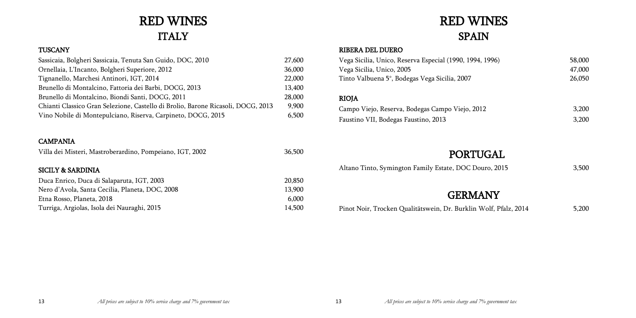| uro, 2015 | 3,50 |
|-----------|------|
|           |      |

# RED WINES ITALY

## **TUSCANY**

| Sassicaia, Bolgheri Sassicaia, Tenuta San Guido, DOC, 2010                       | 27,600 |
|----------------------------------------------------------------------------------|--------|
| Ornellaia, L'Incanto, Bolgheri Superiore, 2012                                   | 36,000 |
| Tignanello, Marchesi Antinori, IGT, 2014                                         | 22,000 |
| Brunello di Montalcino, Fattoria dei Barbi, DOCG, 2013                           | 13,400 |
| Brunello di Montalcino, Biondi Santi, DOCG, 2011                                 | 28,000 |
| Chianti Classico Gran Selezione, Castello di Brolio, Barone Ricasoli, DOCG, 2013 | 9,900  |
| Vino Nobile di Montepulciano, Riserva, Carpineto, DOCG, 2015                     | 6,500  |
|                                                                                  |        |

## CAMPANIA

| 36,500 |
|--------|
|        |
| 20,850 |
| 13,900 |
| 6,000  |
| 14,500 |
|        |

# RED WINES SPAIN

## RIBERA DEL DUERO

| Vega Sicilia, Unico, Reserva Especial (1990, 1994, 1996) | 58,000 |
|----------------------------------------------------------|--------|
| Vega Sicilia, Unico, 2005                                | 47,000 |
| Tinto Valbuena 5°, Bodegas Vega Sicilia, 2007            | 26,050 |
| <b>RIOJA</b>                                             |        |
|                                                          |        |
| Campo Viejo, Reserva, Bodegas Campo Viejo, 2012          | 3,200  |
| Faustino VII, Bodegas Faustino, 2013                     | 3,200  |

# PORTUGAL

Altano Tinto, Symington Family Estate, DOC Douro, 2015 3,500

## **GERMANY**

Pinot Noir, Trocken Qualitätswein, Dr. Burklin Wolf, Pfalz, 2014 5,200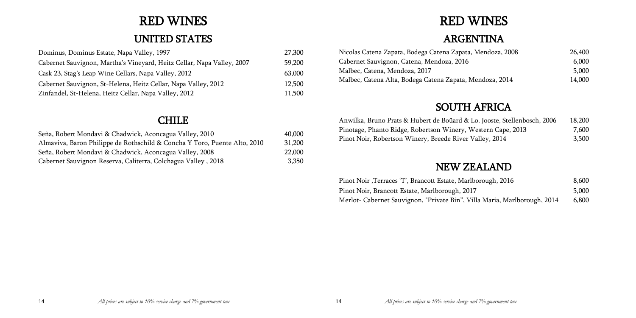| endoza, 2008 | 26,400 |
|--------------|--------|
|              | 6,000  |
|              | 5,000  |
| doza, 2014   | 14,000 |
|              |        |

| Jooste, Stellenbosch, 2006 | 18,200 |
|----------------------------|--------|
| tern Cape, 2013.           | 7,600  |
| ley, 2014                  | 3,500  |

| ough, 2016 <sup>.</sup>  | 8,600 |
|--------------------------|-------|
|                          | 5,000 |
| Maria, Marlborough, 2014 | 6,800 |

# RED WINES

# UNITED STATES

| Dominus, Dominus Estate, Napa Valley, 1997                             | 27,300 |
|------------------------------------------------------------------------|--------|
| Cabernet Sauvignon, Martha's Vineyard, Heitz Cellar, Napa Valley, 2007 | 59,200 |
| Cask 23, Stag's Leap Wine Cellars, Napa Valley, 2012                   | 63,000 |
| Cabernet Sauvignon, St-Helena, Heitz Cellar, Napa Valley, 2012         | 12,500 |
| Zinfandel, St-Helena, Heitz Cellar, Napa Valley, 2012                  | 11,500 |

## CHILE

| Seña, Robert Mondavi & Chadwick, Aconcagua Valley, 2010                   | 40,000 |
|---------------------------------------------------------------------------|--------|
| Almaviva, Baron Philippe de Rothschild & Concha Y Toro, Puente Alto, 2010 | 31,200 |
| Seña, Robert Mondavi & Chadwick, Aconcagua Valley, 2008                   | 22,000 |
| Cabernet Sauvignon Reserva, Caliterra, Colchagua Valley, 2018             | 3,350  |

# RED WINES

# ARGENTINA

- Nicolas Catena Zapata, Bodega Catena Zapata, Me Cabernet Sauvignon, Catena, Mendoza, 2016
	- Malbec, Catena, Mendoza, 2017
	- Malbec, Catena Alta, Bodega Catena Zapata, Men

# SOUTH AFRICA

Anwilka, Bruno Prats & Hubert de Boüard & Lo. Pinotage, Phanto Ridge, Robertson Winery, West Pinot Noir, Robertson Winery, Breede River Vall

# NEW ZEALAND

Pinot Noir ,Terraces 'T', Brancott Estate, Marlborough, 2016 Pinot Noir, Brancott Estate, Marlborough, 2017 Merlot- Cabernet Sauvignon, "Private Bin", Villa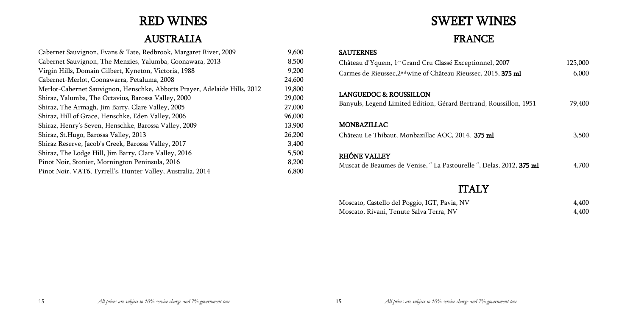| nnel, 2007          | 125,000 |
|---------------------|---------|
| , 2015, 375 ml      | 6,000   |
| d, Roussillon, 1951 | 79,400  |
| 5 <sub>ml</sub>     | 3,500   |
| Delas, 2012, 375 ml | 4,700   |
| $\boldsymbol{X}$    | 4,400   |
|                     | 4,400   |

# RED WINES

# AUSTRALIA

| Cabernet Sauvignon, Evans & Tate, Redbrook, Margaret River, 2009          | 9,600  |
|---------------------------------------------------------------------------|--------|
| Cabernet Sauvignon, The Menzies, Yalumba, Coonawara, 2013                 | 8,500  |
| Virgin Hills, Domain Gilbert, Kyneton, Victoria, 1988                     | 9,200  |
| Cabernet-Merlot, Coonawarra, Petaluma, 2008                               | 24,600 |
| Merlot-Cabernet Sauvignon, Henschke, Abbotts Prayer, Adelaide Hills, 2012 | 19,800 |
| Shiraz, Yalumba, The Octavius, Barossa Valley, 2000                       | 29,000 |
| Shiraz, The Armagh, Jim Barry, Clare Valley, 2005                         | 27,000 |
| Shiraz, Hill of Grace, Henschke, Eden Valley, 2006                        | 96,000 |
| Shiraz, Henry's Seven, Henschke, Barossa Valley, 2009                     | 13,900 |
| Shiraz, St.Hugo, Barossa Valley, 2013                                     | 26,200 |
| Shiraz Reserve, Jacob's Creek, Barossa Valley, 2017                       | 3,400  |
| Shiraz, The Lodge Hill, Jim Barry, Clare Valley, 2016                     | 5,500  |
| Pinot Noir, Stonier, Mornington Peninsula, 2016                           | 8,200  |
| Pinot Noir, VAT6, Tyrrell's, Hunter Valley, Australia, 2014               | 6,800  |

# SWEET WINES

# FRANCE

## SAUTERNES

Château d'Yquem, 1<sup>er</sup> Grand Cru Classé Exception Carmes de Rieussec, 2<sup>nd</sup> wine of Château Rieussec.

## LANGUEDOC & ROUSSILLON

Banyuls, Legend Limited Edition, Gérard Bertran

## MONBAZILLAC

Château Le Thibaut, Monbazillac AOC, 2014, 37

## RHÔNE VALLEY

Muscat de Beaumes de Venise, "La Pastourelle ",

## **ITAL**

Moscato, Castello del Poggio, IGT, Pavia, NV Moscato, Rivani, Tenute Salva Terra, NV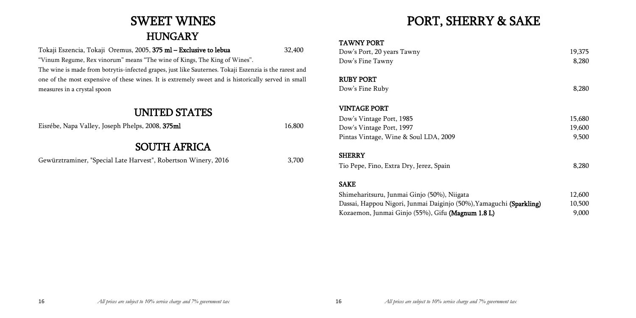# SWEET WINES **HUNGARY**

|                    | 19,375 |  |
|--------------------|--------|--|
|                    | 8,280  |  |
|                    |        |  |
|                    | 8,280  |  |
|                    |        |  |
|                    |        |  |
|                    | 15,680 |  |
|                    | 19,600 |  |
|                    | 9,500  |  |
|                    |        |  |
|                    | 8,280  |  |
|                    |        |  |
|                    | 12,600 |  |
| aguchi (Sparkling) | 10,500 |  |
| L)                 | 9,000  |  |
|                    |        |  |

Tokaji Eszencia, Tokaji Oremus, 2005, 375 ml – Exclusive to lebua 32,400 "Vinum Regume, Rex vinorum" means "The wine of Kings, The King of Wines". The wine is made from botrytis-infected grapes, just like Sauternes. Tokaji Eszenzia is the rarest and one of the most expensive of these wines. It is extremely sweet and is historically served in small measures in a crystal spoon

RUBY PORT Dow's Fine Ruby

## UNITED STATES

Eisrébe, Napa Valley, Joseph Phelps, 2008, 375ml 16,800

# SOUTH AFRICA

Gewürztraminer, "Special Late Harvest", Robertson Winery, 2016 3,700

# PORT, SHERRY & SAKE

## TAWNY PORT

Dow's Port, 20 years Tawny Dow's Fine Tawny

## VINTAGE PORT

Dow's Vintage Port, 1985 Dow's Vintage Port, 1997 Pintas Vintage, Wine & Soul LDA, 2009

## **SHERRY**

Tio Pepe, Fino, Extra Dry, Jerez, Spain

## SAKE

Shimeharitsuru, Junmai Ginjo (50%), Niigata Dassai, Happou Nigori, Junmai Daiginjo (50%), Yama Kozaemon, Junmai Ginjo (55%), Gifu (Magnum 1.8 l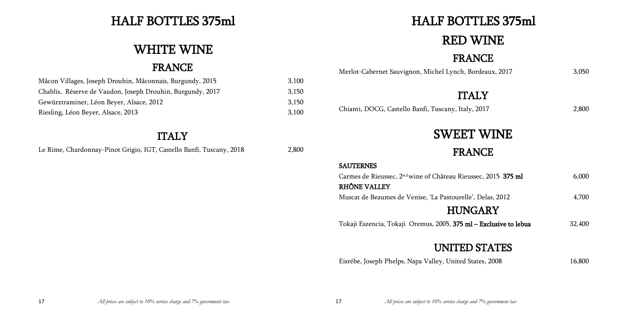| c, 2015 375 ml            | 6,000  |
|---------------------------|--------|
| elas, 2012                | 4,700  |
| ARY<br>Exclusive to lebua | 32,400 |
| <b>TATES</b>              |        |

# HALF BOTTLES 375ml

# WHITE WINE

# FRANCE

Mâcon Villages, Joseph Drouhin, Mâconnais, Burgundy, 2015 3,100 Chablis, Réserve de Vaudon, Joseph Drouhin, Burgundy, 2017 3,150 Gewürztraminer, Léon Beyer, Alsace, 2012 3,150 Riesling, Léon Beyer, Alsace, 2013 3,100

# ITALY

Le Rime, Chardonnay-Pinot Grigio, IGT, Castello Banfi, Tuscany, 2018 2,800

# HALF BOTTLES 375ml

# RED WINE

# FRANCE

Merlot-Cabernet Sauvignon, Michel Lynch, Bordeaux, 2017 3,050

# ITALY

Chianti, DOCG, Castello Banfi, Tuscany, Italy, 2017 2,800

# SWEET WINE

FRANCE

## SAUTERNES

Carmes de Rieussec, 2<sup>nd</sup> wine of Château Rieussec

## RHÔNE VALLEY

Muscat de Beaumes de Venise, 'La Pastourelle', D

# **HUNGA**

Tokaji Eszencia, Tokaji Oremus, 2005, 375 ml - l

# UNITED ST

Eisrébe, Joseph Phelps, Napa Valley, United States, 2008 16,800